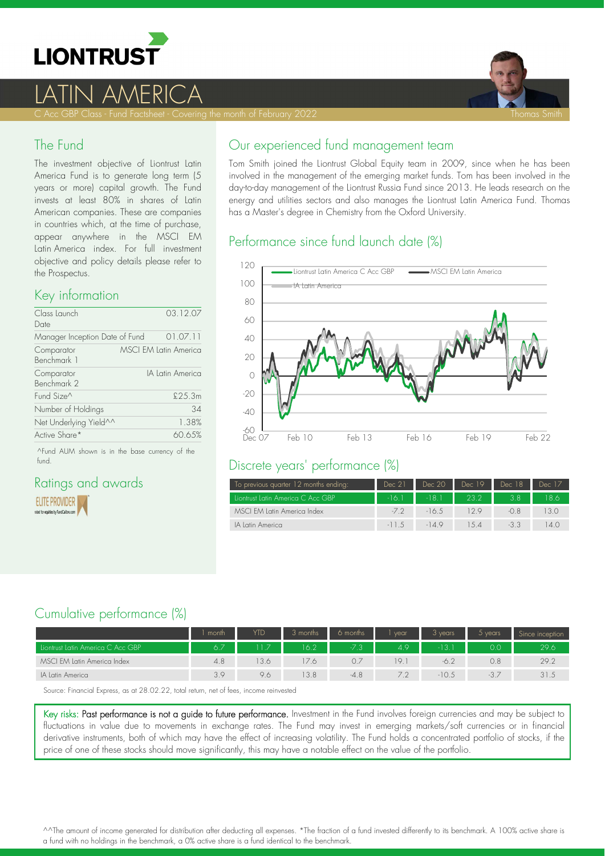

# LATIN AMERICA

C Acc GBP Class - Fund Factsheet - Covering the month of February 2022 Thomas Smith States Thomas Smith Smith

### The Fund

The investment objective of Liontrust Latin America Fund is to generate long term (5 years or more) capital growth. The Fund invests at least 80% in shares of Latin American companies. These are companies in countries which, at the time of purchase, appear anywhere in the MSCI EM Latin America index. For full investment objective and policy details please refer to the Prospectus.

### Key information

| Class Launch<br>Date           | 03.12.07                     |
|--------------------------------|------------------------------|
| Manager Inception Date of Fund | 01.07.11                     |
| Comparator<br>Benchmark 1      | <b>MSCI EM Latin America</b> |
| Comparator<br>Benchmark 2      | IA latin America             |
| Fund Size <sup>^</sup>         | \$25.3m                      |
| Number of Holdings             | 34                           |
| Net Underlying Yield^^         | 1.38%                        |
| Active Share*                  | 60.65%                       |

^Fund AUM shown is in the base currency of the fund.

#### Ratings and awards **ELITE PROVIDER** d for equities by FundCalibre.com

# Our experienced fund management team

Tom Smith joined the Liontrust Global Equity team in 2009, since when he has been involved in the management of the emerging market funds. Tom has been involved in the day-to-day management of the Liontrust Russia Fund since 2013. He leads research on the energy and utilities sectors and also manages the Liontrust Latin America Fund. Thomas has a Master's degree in Chemistry from the Oxford University.

## Performance since fund launch date (%)



### Discrete years' performance (%)

| To previous quarter 12 months ending: | Dec 21  | Dec 20  | Dec 19 | Dec 18 | Dec 17 |
|---------------------------------------|---------|---------|--------|--------|--------|
| Liontrust Latin America C Acc GBP     | $-16.1$ | $-18.1$ | 23.2   |        | 18.6   |
| MSCI EM Latin America Index           | $-7.2$  | $-16.5$ | 129    |        |        |
| IA latin America                      | $-11.5$ | $-149$  | 1.5 4  |        | 14()   |

## Cumulative performance (%)

|                                   | month | YTD | 3 months | 6 months | vear | l years | $5$ years | Since inception |
|-----------------------------------|-------|-----|----------|----------|------|---------|-----------|-----------------|
| Liontrust Latin America C Acc GBP | 6.7   |     | 16.2     |          | 4.9  |         | 0.0       | 29.6            |
| MSCI EM Latin America Index       | 4.8   | 3.6 | 17.6     |          | 19.1 | $-6.2$  | 0.8       | 29.2            |
| IA Latin America                  | 3.9   | 9.6 | 13.8     | $-4.8$   | 7.2  | $-10.5$ | $-3.7$    | 31.5            |

Source: Financial Express, as at 28.02.22, total return, net of fees, income reinvested

Key risks: Past performance is not a guide to future performance. Investment in the Fund involves foreign currencies and may be subject to fluctuations in value due to movements in exchange rates. The Fund may invest in emerging markets/soft currencies or in financial derivative instruments, both of which may have the effect of increasing volatility. The Fund holds a concentrated portfolio of stocks, if the price of one of these stocks should move significantly, this may have a notable effect on the value of the portfolio.

^^The amount of income generated for distribution after deducting all expenses. \*The fraction of a fund invested differently to its benchmark. A 100% active share is a fund with no holdings in the benchmark, a 0% active share is a fund identical to the benchmark.